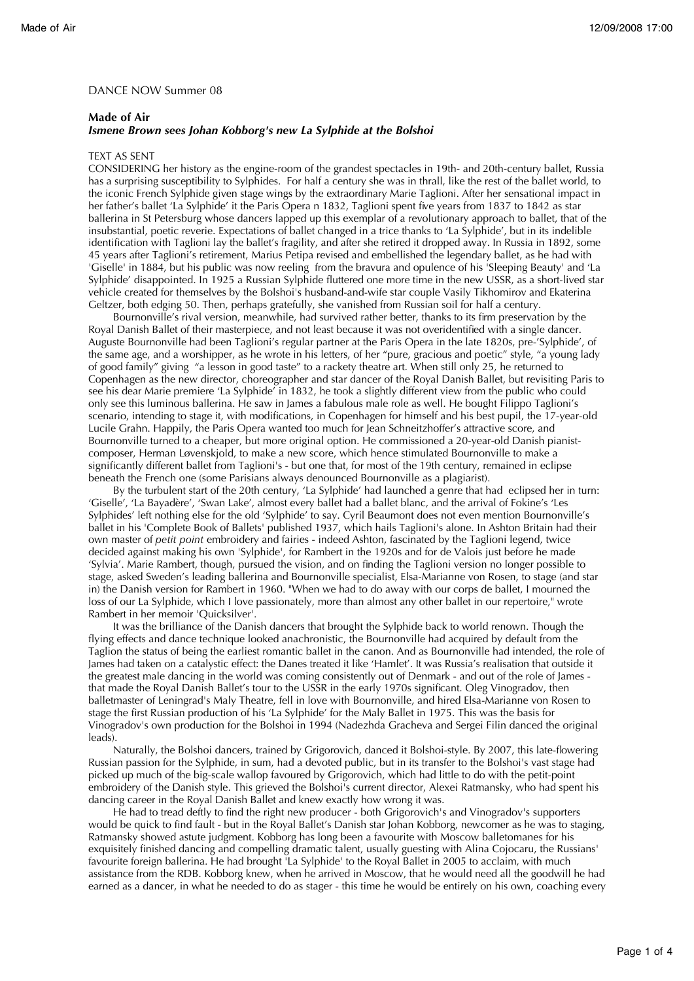## DANCE NOW Summer 08

## **Made of Air**

## *Ismene Brown sees Johan Kobborg's new La Sylphide at the Bolshoi*

## TEXT AS SENT

CONSIDERING her history as the engine-room of the grandest spectacles in 19th- and 20th-century ballet, Russia has a surprising susceptibility to Sylphides. For half a century she was in thrall, like the rest of the ballet world, to the iconic French Sylphide given stage wings by the extraordinary Marie Taglioni. After her sensational impact in her father's ballet 'La Sylphide' it the Paris Opera n 1832, Taglioni spent five years from 1837 to 1842 as star ballerina in St Petersburg whose dancers lapped up this exemplar of a revolutionary approach to ballet, that of the insubstantial, poetic reverie. Expectations of ballet changed in a trice thanks to 'La Sylphide', but in its indelible identification with Taglioni lay the ballet's fragility, and after she retired it dropped away. In Russia in 1892, some 45 years after Taglioni's retirement, Marius Petipa revised and embellished the legendary ballet, as he had with 'Giselle' in 1884, but his public was now reeling from the bravura and opulence of his 'Sleeping Beauty' and 'La Sylphide' disappointed. In 1925 a Russian Sylphide fluttered one more time in the new USSR, as a short-lived star vehicle created for themselves by the Bolshoi's husband-and-wife star couple Vasily Tikhomirov and Ekaterina Geltzer, both edging 50. Then, perhaps gratefully, she vanished from Russian soil for half a century.

Bournonville's rival version, meanwhile, had survived rather better, thanks to its firm preservation by the Royal Danish Ballet of their masterpiece, and not least because it was not overidentified with a single dancer. Auguste Bournonville had been Taglioni's regular partner at the Paris Opera in the late 1820s, pre-'Sylphide', of the same age, and a worshipper, as he wrote in his letters, of her "pure, gracious and poetic" style, "a young lady of good family" giving "a lesson in good taste" to a rackety theatre art. When still only 25, he returned to Copenhagen as the new director, choreographer and star dancer of the Royal Danish Ballet, but revisiting Paris to see his dear Marie premiere 'La Sylphide' in 1832, he took a slightly different view from the public who could only see this luminous ballerina. He saw in James a fabulous male role as well. He bought Filippo Taglioni's scenario, intending to stage it, with modifications, in Copenhagen for himself and his best pupil, the 17-year-old Lucile Grahn. Happily, the Paris Opera wanted too much for Jean Schneitzhoffer's attractive score, and Bournonville turned to a cheaper, but more original option. He commissioned a 20-year-old Danish pianistcomposer, Herman Løvenskjold, to make a new score, which hence stimulated Bournonville to make a significantly different ballet from Taglioni's - but one that, for most of the 19th century, remained in eclipse beneath the French one (some Parisians always denounced Bournonville as a plagiarist).

By the turbulent start of the 20th century, 'La Sylphide' had launched a genre that had eclipsed her in turn: 'Giselle', 'La Bayadère', 'Swan Lake', almost every ballet had a ballet blanc, and the arrival of Fokine's 'Les Sylphides' left nothing else for the old 'Sylphide' to say. Cyril Beaumont does not even mention Bournonville's ballet in his 'Complete Book of Ballets' published 1937, which hails Taglioni's alone. In Ashton Britain had their own master of *petit point* embroidery and fairies - indeed Ashton, fascinated by the Taglioni legend, twice decided against making his own 'Sylphide', for Rambert in the 1920s and for de Valois just before he made 'Sylvia'. Marie Rambert, though, pursued the vision, and on finding the Taglioni version no longer possible to stage, asked Sweden's leading ballerina and Bournonville specialist, Elsa-Marianne von Rosen, to stage (and star in) the Danish version for Rambert in 1960. "When we had to do away with our corps de ballet, I mourned the loss of our La Sylphide, which I love passionately, more than almost any other ballet in our repertoire," wrote Rambert in her memoir 'Quicksilver'.

It was the brilliance of the Danish dancers that brought the Sylphide back to world renown. Though the flying effects and dance technique looked anachronistic, the Bournonville had acquired by default from the Taglion the status of being the earliest romantic ballet in the canon. And as Bournonville had intended, the role of James had taken on a catalystic effect: the Danes treated it like 'Hamlet'. It was Russia's realisation that outside it the greatest male dancing in the world was coming consistently out of Denmark - and out of the role of James that made the Royal Danish Ballet's tour to the USSR in the early 1970s significant. Oleg Vinogradov, then balletmaster of Leningrad's Maly Theatre, fell in love with Bournonville, and hired Elsa-Marianne von Rosen to stage the first Russian production of his 'La Sylphide' for the Maly Ballet in 1975. This was the basis for Vinogradov's own production for the Bolshoi in 1994 (Nadezhda Gracheva and Sergei Filin danced the original leads).

Naturally, the Bolshoi dancers, trained by Grigorovich, danced it Bolshoi-style. By 2007, this late-flowering Russian passion for the Sylphide, in sum, had a devoted public, but in its transfer to the Bolshoi's vast stage had picked up much of the big-scale wallop favoured by Grigorovich, which had little to do with the petit-point embroidery of the Danish style. This grieved the Bolshoi's current director, Alexei Ratmansky, who had spent his dancing career in the Royal Danish Ballet and knew exactly how wrong it was.

He had to tread deftly to find the right new producer - both Grigorovich's and Vinogradov's supporters would be quick to find fault - but in the Royal Ballet's Danish star Johan Kobborg, newcomer as he was to staging, Ratmansky showed astute judgment. Kobborg has long been a favourite with Moscow balletomanes for his exquisitely finished dancing and compelling dramatic talent, usually guesting with Alina Cojocaru, the Russians' favourite foreign ballerina. He had brought 'La Sylphide' to the Royal Ballet in 2005 to acclaim, with much assistance from the RDB. Kobborg knew, when he arrived in Moscow, that he would need all the goodwill he had earned as a dancer, in what he needed to do as stager - this time he would be entirely on his own, coaching every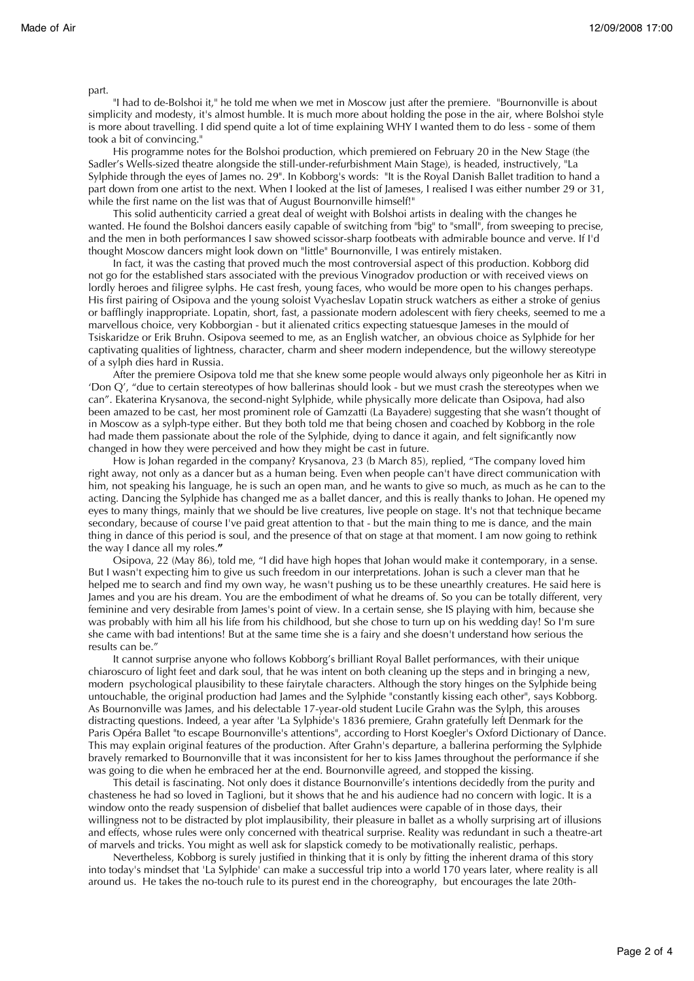part.

"I had to de-Bolshoi it," he told me when we met in Moscow just after the premiere. "Bournonville is about simplicity and modesty, it's almost humble. It is much more about holding the pose in the air, where Bolshoi style is more about travelling. I did spend quite a lot of time explaining WHY I wanted them to do less - some of them took a bit of convincing."

His programme notes for the Bolshoi production, which premiered on February 20 in the New Stage (the Sadler's Wells-sized theatre alongside the still-under-refurbishment Main Stage), is headed, instructively, "La Sylphide through the eyes of James no. 29". In Kobborg's words: "It is the Royal Danish Ballet tradition to hand a part down from one artist to the next. When I looked at the list of Jameses, I realised I was either number 29 or 31, while the first name on the list was that of August Bournonville himself!"

This solid authenticity carried a great deal of weight with Bolshoi artists in dealing with the changes he wanted. He found the Bolshoi dancers easily capable of switching from "big" to "small", from sweeping to precise, and the men in both performances I saw showed scissor-sharp footbeats with admirable bounce and verve. If I'd thought Moscow dancers might look down on "little" Bournonville, I was entirely mistaken.

In fact, it was the casting that proved much the most controversial aspect of this production. Kobborg did not go for the established stars associated with the previous Vinogradov production or with received views on lordly heroes and filigree sylphs. He cast fresh, young faces, who would be more open to his changes perhaps. His first pairing of Osipova and the young soloist Vyacheslav Lopatin struck watchers as either a stroke of genius or bafflingly inappropriate. Lopatin, short, fast, a passionate modern adolescent with fiery cheeks, seemed to me a marvellous choice, very Kobborgian - but it alienated critics expecting statuesque Jameses in the mould of Tsiskaridze or Erik Bruhn. Osipova seemed to me, as an English watcher, an obvious choice as Sylphide for her captivating qualities of lightness, character, charm and sheer modern independence, but the willowy stereotype of a sylph dies hard in Russia.

After the premiere Osipova told me that she knew some people would always only pigeonhole her as Kitri in 'Don Q', "due to certain stereotypes of how ballerinas should look - but we must crash the stereotypes when we can". Ekaterina Krysanova, the second-night Sylphide, while physically more delicate than Osipova, had also been amazed to be cast, her most prominent role of Gamzatti (La Bayadere) suggesting that she wasn't thought of in Moscow as a sylph-type either. But they both told me that being chosen and coached by Kobborg in the role had made them passionate about the role of the Sylphide, dying to dance it again, and felt significantly now changed in how they were perceived and how they might be cast in future.

How is Johan regarded in the company? Krysanova, 23 (b March 85), replied, "The company loved him right away, not only as a dancer but as a human being. Even when people can't have direct communication with him, not speaking his language, he is such an open man, and he wants to give so much, as much as he can to the acting. Dancing the Sylphide has changed me as a ballet dancer, and this is really thanks to Johan. He opened my eyes to many things, mainly that we should be live creatures, live people on stage. It's not that technique became secondary, because of course I've paid great attention to that - but the main thing to me is dance, and the main thing in dance of this period is soul, and the presence of that on stage at that moment. I am now going to rethink the way I dance all my roles.**"**

Osipova, 22 (May 86), told me, "I did have high hopes that Johan would make it contemporary, in a sense. But I wasn't expecting him to give us such freedom in our interpretations. Johan is such a clever man that he helped me to search and find my own way, he wasn't pushing us to be these unearthly creatures. He said here is James and you are his dream. You are the embodiment of what he dreams of. So you can be totally different, very feminine and very desirable from James's point of view. In a certain sense, she IS playing with him, because she was probably with him all his life from his childhood, but she chose to turn up on his wedding day! So I'm sure she came with bad intentions! But at the same time she is a fairy and she doesn't understand how serious the results can be."

It cannot surprise anyone who follows Kobborg's brilliant Royal Ballet performances, with their unique chiaroscuro of light feet and dark soul, that he was intent on both cleaning up the steps and in bringing a new, modern psychological plausibility to these fairytale characters. Although the story hinges on the Sylphide being untouchable, the original production had James and the Sylphide "constantly kissing each other", says Kobborg. As Bournonville was James, and his delectable 17-year-old student Lucile Grahn was the Sylph, this arouses distracting questions. Indeed, a year after 'La Sylphide's 1836 premiere, Grahn gratefully left Denmark for the Paris Opéra Ballet "to escape Bournonville's attentions", according to Horst Koegler's Oxford Dictionary of Dance. This may explain original features of the production. After Grahn's departure, a ballerina performing the Sylphide bravely remarked to Bournonville that it was inconsistent for her to kiss James throughout the performance if she was going to die when he embraced her at the end. Bournonville agreed, and stopped the kissing.

This detail is fascinating. Not only does it distance Bournonville's intentions decidedly from the purity and chasteness he had so loved in Taglioni, but it shows that he and his audience had no concern with logic. It is a window onto the ready suspension of disbelief that ballet audiences were capable of in those days, their willingness not to be distracted by plot implausibility, their pleasure in ballet as a wholly surprising art of illusions and effects, whose rules were only concerned with theatrical surprise. Reality was redundant in such a theatre-art of marvels and tricks. You might as well ask for slapstick comedy to be motivationally realistic, perhaps.

Nevertheless, Kobborg is surely justified in thinking that it is only by fitting the inherent drama of this story into today's mindset that 'La Sylphide' can make a successful trip into a world 170 years later, where reality is all around us. He takes the no-touch rule to its purest end in the choreography, but encourages the late 20th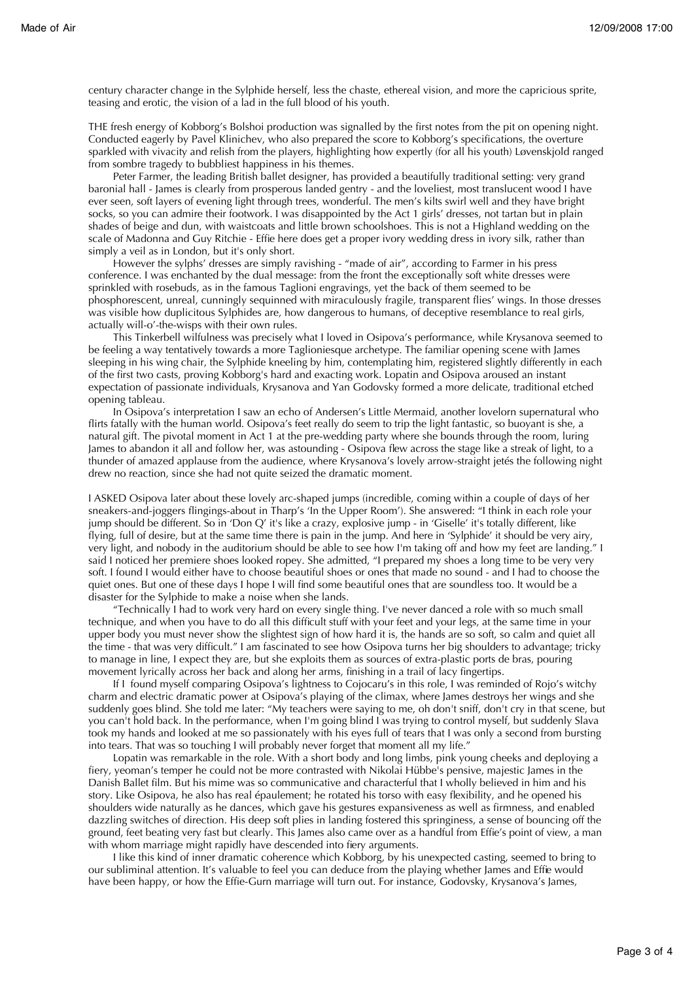century character change in the Sylphide herself, less the chaste, ethereal vision, and more the capricious sprite, teasing and erotic, the vision of a lad in the full blood of his youth.

THE fresh energy of Kobborg's Bolshoi production was signalled by the first notes from the pit on opening night. Conducted eagerly by Pavel Klinichev, who also prepared the score to Kobborg's specifications, the overture sparkled with vivacity and relish from the players, highlighting how expertly (for all his youth) Løvenskjold ranged from sombre tragedy to bubbliest happiness in his themes.

Peter Farmer, the leading British ballet designer, has provided a beautifully traditional setting: very grand baronial hall - James is clearly from prosperous landed gentry - and the loveliest, most translucent wood I have ever seen, soft layers of evening light through trees, wonderful. The men's kilts swirl well and they have bright socks, so you can admire their footwork. I was disappointed by the Act 1 girls' dresses, not tartan but in plain shades of beige and dun, with waistcoats and little brown schoolshoes. This is not a Highland wedding on the scale of Madonna and Guy Ritchie - Effie here does get a proper ivory wedding dress in ivory silk, rather than simply a veil as in London, but it's only short.

However the sylphs' dresses are simply ravishing - "made of air", according to Farmer in his press conference. I was enchanted by the dual message: from the front the exceptionally soft white dresses were sprinkled with rosebuds, as in the famous Taglioni engravings, yet the back of them seemed to be phosphorescent, unreal, cunningly sequinned with miraculously fragile, transparent flies' wings. In those dresses was visible how duplicitous Sylphides are, how dangerous to humans, of deceptive resemblance to real girls, actually will-o'-the-wisps with their own rules.

This Tinkerbell wilfulness was precisely what I loved in Osipova's performance, while Krysanova seemed to be feeling a way tentatively towards a more Taglioniesque archetype. The familiar opening scene with James sleeping in his wing chair, the Sylphide kneeling by him, contemplating him, registered slightly differently in each of the first two casts, proving Kobborg's hard and exacting work. Lopatin and Osipova aroused an instant expectation of passionate individuals, Krysanova and Yan Godovsky formed a more delicate, traditional etched opening tableau.

In Osipova's interpretation I saw an echo of Andersen's Little Mermaid, another lovelorn supernatural who flirts fatally with the human world. Osipova's feet really do seem to trip the light fantastic, so buoyant is she, a natural gift. The pivotal moment in Act 1 at the pre-wedding party where she bounds through the room, luring James to abandon it all and follow her, was astounding - Osipova flew across the stage like a streak of light, to a thunder of amazed applause from the audience, where Krysanova's lovely arrow-straight jetés the following night drew no reaction, since she had not quite seized the dramatic moment.

I ASKED Osipova later about these lovely arc-shaped jumps (incredible, coming within a couple of days of her sneakers-and-joggers flingings-about in Tharp's 'In the Upper Room'). She answered: "I think in each role your jump should be different. So in 'Don Q' it's like a crazy, explosive jump - in 'Giselle' it's totally different, like flying, full of desire, but at the same time there is pain in the jump. And here in 'Sylphide' it should be very airy, very light, and nobody in the auditorium should be able to see how I'm taking off and how my feet are landing." I said I noticed her premiere shoes looked ropey. She admitted, "I prepared my shoes a long time to be very very soft. I found I would either have to choose beautiful shoes or ones that made no sound - and I had to choose the quiet ones. But one of these days I hope I will find some beautiful ones that are soundless too. It would be a disaster for the Sylphide to make a noise when she lands.

"Technically I had to work very hard on every single thing. I've never danced a role with so much small technique, and when you have to do all this difficult stuff with your feet and your legs, at the same time in your upper body you must never show the slightest sign of how hard it is, the hands are so soft, so calm and quiet all the time - that was very difficult." I am fascinated to see how Osipova turns her big shoulders to advantage; tricky to manage in line, I expect they are, but she exploits them as sources of extra-plastic ports de bras, pouring movement lyrically across her back and along her arms, finishing in a trail of lacy fingertips.

If I found myself comparing Osipova's lightness to Cojocaru's in this role, I was reminded of Rojo's witchy charm and electric dramatic power at Osipova's playing of the climax, where James destroys her wings and she suddenly goes blind. She told me later: "My teachers were saying to me, oh don't sniff, don't cry in that scene, but you can't hold back. In the performance, when I'm going blind I was trying to control myself, but suddenly Slava took my hands and looked at me so passionately with his eyes full of tears that I was only a second from bursting into tears. That was so touching I will probably never forget that moment all my life."

Lopatin was remarkable in the role. With a short body and long limbs, pink young cheeks and deploying a fiery, yeoman's temper he could not be more contrasted with Nikolai Hübbe's pensive, majestic James in the Danish Ballet film. But his mime was so communicative and characterful that I wholly believed in him and his story. Like Osipova, he also has real épaulement; he rotated his torso with easy flexibility, and he opened his shoulders wide naturally as he dances, which gave his gestures expansiveness as well as firmness, and enabled dazzling switches of direction. His deep soft plies in landing fostered this springiness, a sense of bouncing off the ground, feet beating very fast but clearly. This James also came over as a handful from Effie's point of view, a man with whom marriage might rapidly have descended into fiery arguments.

I like this kind of inner dramatic coherence which Kobborg, by his unexpected casting, seemed to bring to our subliminal attention. It's valuable to feel you can deduce from the playing whether James and Effie would have been happy, or how the Effie-Gurn marriage will turn out. For instance, Godovsky, Krysanova's James,